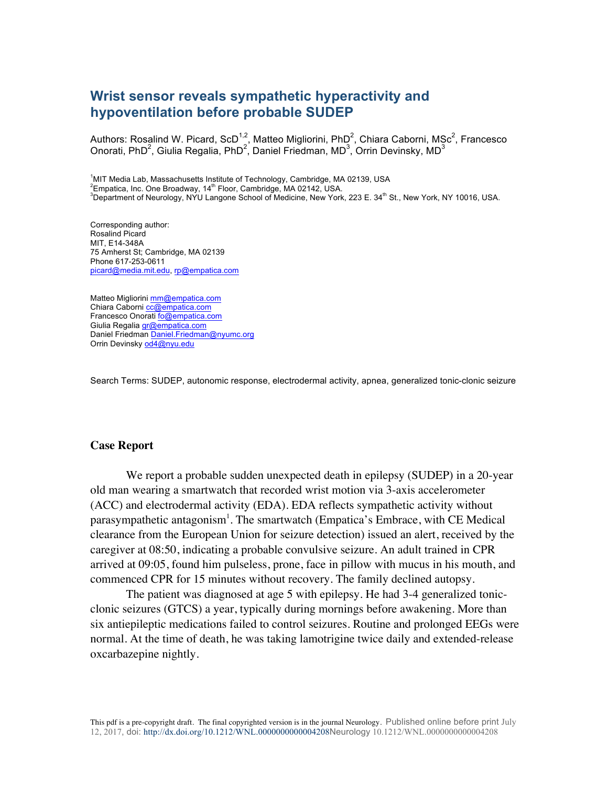## **Wrist sensor reveals sympathetic hyperactivity and hypoventilation before probable SUDEP**

Authors: Rosalind W. Picard, ScD<sup>1,2</sup>, Matteo Migliorini, PhD<sup>2</sup>, Chiara Caborni, MSc<sup>2</sup>, Francesco Onorati, PhD<sup>2</sup>, Giulia Regalia, PhD<sup>2</sup>, Daniel Friedman, MD<sup>3</sup>, Orrin Devinsky, MD<sup>3</sup>

<sup>1</sup>MIT Media Lab, Massachusetts Institute of Technology, Cambridge, MA 02139, USA<br><sup>2</sup>Empetias Jac One Brasduqu 44<sup>th</sup> Floar, Cambridge, MA 02142, USA  $\textsuperscript{2}$ Empatica, Inc. One Broadway, 14<sup>th</sup> Floor, Cambridge, MA 02142, USA. <sup>3</sup>Department of Neurology, NYU Langone School of Medicine, New York, 223 E. 34<sup>th</sup> St., New York, NY 10016, USA.

Corresponding author: Rosalind Picard MIT, E14-348A 75 Amherst St; Cambridge, MA 02139 Phone 617-253-0611 picard@media.mit.edu, rp@empatica.com

Matteo Migliorini mm@empatica.com Chiara Caborni cc@empatica.com Francesco Onorati fo@empatica.com Giulia Regalia gr@empatica.com Daniel Friedman Daniel.Friedman@nyumc.org Orrin Devinsky od4@nyu.edu

Search Terms: SUDEP, autonomic response, electrodermal activity, apnea, generalized tonic-clonic seizure

## **Case Report**

We report a probable sudden unexpected death in epilepsy (SUDEP) in a 20-year old man wearing a smartwatch that recorded wrist motion via 3-axis accelerometer (ACC) and electrodermal activity (EDA). EDA reflects sympathetic activity without parasympathetic antagonism<sup>1</sup>. The smartwatch (Empatica's Embrace, with CE Medical clearance from the European Union for seizure detection) issued an alert, received by the caregiver at 08:50, indicating a probable convulsive seizure. An adult trained in CPR arrived at 09:05, found him pulseless, prone, face in pillow with mucus in his mouth, and commenced CPR for 15 minutes without recovery. The family declined autopsy.

The patient was diagnosed at age 5 with epilepsy. He had 3-4 generalized tonicclonic seizures (GTCS) a year, typically during mornings before awakening. More than six antiepileptic medications failed to control seizures. Routine and prolonged EEGs were normal. At the time of death, he was taking lamotrigine twice daily and extended-release oxcarbazepine nightly.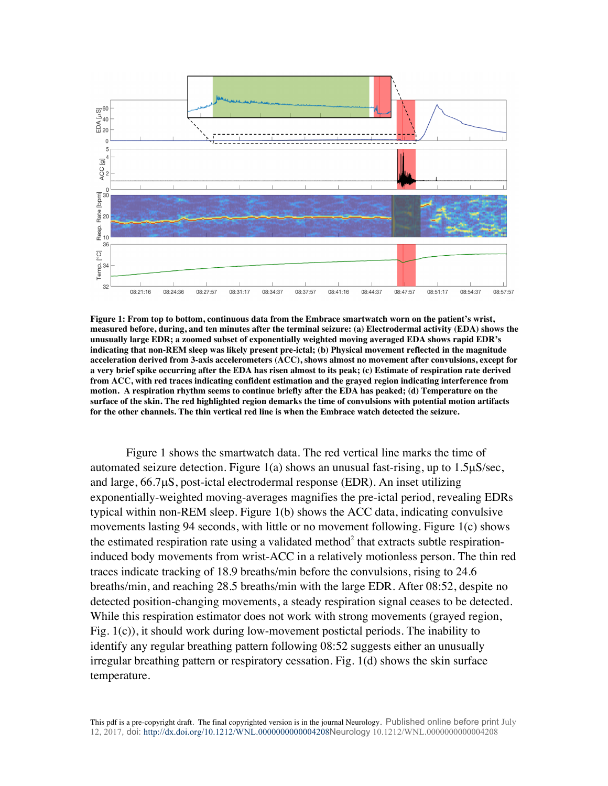

**Figure 1: From top to bottom, continuous data from the Embrace smartwatch worn on the patient's wrist, measured before, during, and ten minutes after the terminal seizure: (a) Electrodermal activity (EDA) shows the unusually large EDR; a zoomed subset of exponentially weighted moving averaged EDA shows rapid EDR's indicating that non-REM sleep was likely present pre-ictal; (b) Physical movement reflected in the magnitude acceleration derived from 3-axis accelerometers (ACC), shows almost no movement after convulsions, except for a very brief spike occurring after the EDA has risen almost to its peak; (c) Estimate of respiration rate derived from ACC, with red traces indicating confident estimation and the grayed region indicating interference from motion. A respiration rhythm seems to continue briefly after the EDA has peaked; (d) Temperature on the surface of the skin. The red highlighted region demarks the time of convulsions with potential motion artifacts for the other channels. The thin vertical red line is when the Embrace watch detected the seizure.**

Figure 1 shows the smartwatch data. The red vertical line marks the time of automated seizure detection. Figure 1(a) shows an unusual fast-rising, up to  $1.5\mu$ S/sec, and large, 66.7µS, post-ictal electrodermal response (EDR). An inset utilizing exponentially-weighted moving-averages magnifies the pre-ictal period, revealing EDRs typical within non-REM sleep. Figure 1(b) shows the ACC data, indicating convulsive movements lasting 94 seconds, with little or no movement following. Figure 1(c) shows the estimated respiration rate using a validated method<sup>2</sup> that extracts subtle respirationinduced body movements from wrist-ACC in a relatively motionless person. The thin red traces indicate tracking of 18.9 breaths/min before the convulsions, rising to 24.6 breaths/min, and reaching 28.5 breaths/min with the large EDR. After 08:52, despite no detected position-changing movements, a steady respiration signal ceases to be detected. While this respiration estimator does not work with strong movements (grayed region, Fig. 1(c)), it should work during low-movement postictal periods. The inability to identify any regular breathing pattern following 08:52 suggests either an unusually irregular breathing pattern or respiratory cessation. Fig. 1(d) shows the skin surface temperature.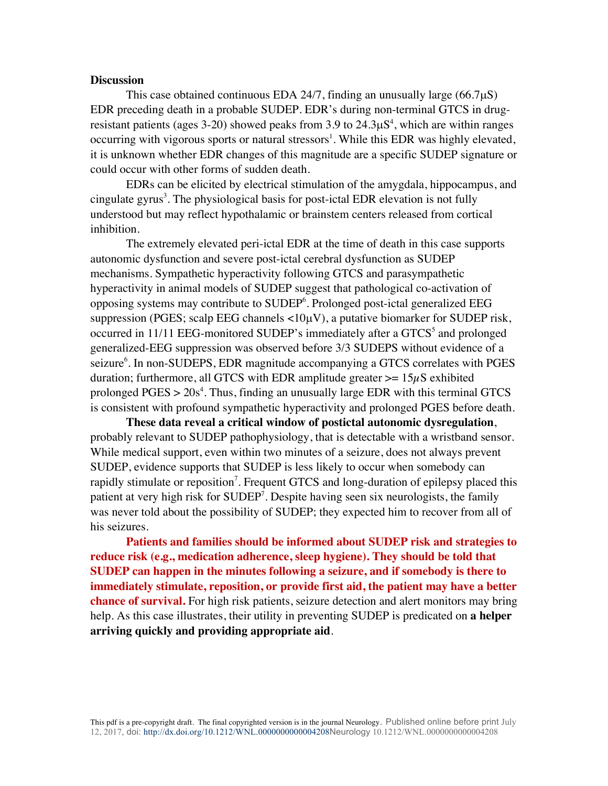## **Discussion**

This case obtained continuous EDA 24/7, finding an unusually large  $(66.7\mu S)$ EDR preceding death in a probable SUDEP. EDR's during non-terminal GTCS in drugresistant patients (ages 3-20) showed peaks from 3.9 to  $24.3\mu S<sup>4</sup>$ , which are within ranges occurring with vigorous sports or natural stressors<sup>1</sup>. While this EDR was highly elevated, it is unknown whether EDR changes of this magnitude are a specific SUDEP signature or could occur with other forms of sudden death.

EDRs can be elicited by electrical stimulation of the amygdala, hippocampus, and cingulate gyrus<sup>3</sup>. The physiological basis for post-ictal EDR elevation is not fully understood but may reflect hypothalamic or brainstem centers released from cortical inhibition.

The extremely elevated peri-ictal EDR at the time of death in this case supports autonomic dysfunction and severe post-ictal cerebral dysfunction as SUDEP mechanisms. Sympathetic hyperactivity following GTCS and parasympathetic hyperactivity in animal models of SUDEP suggest that pathological co-activation of opposing systems may contribute to SUDEP<sup>6</sup>. Prolonged post-ictal generalized EEG suppression (PGES; scalp EEG channels  $\langle 10\mu V \rangle$ , a putative biomarker for SUDEP risk, occurred in  $11/11$  EEG-monitored SUDEP's immediately after a  $GTCS<sup>5</sup>$  and prolonged generalized-EEG suppression was observed before 3/3 SUDEPS without evidence of a seizure<sup>6</sup>. In non-SUDEPS, EDR magnitude accompanying a GTCS correlates with PGES duration; furthermore, all GTCS with EDR amplitude greater  $\geq$  15 $\mu$ S exhibited prolonged  $PGES > 20s<sup>4</sup>$ . Thus, finding an unusually large EDR with this terminal GTCS is consistent with profound sympathetic hyperactivity and prolonged PGES before death.

**These data reveal a critical window of postictal autonomic dysregulation**, probably relevant to SUDEP pathophysiology, that is detectable with a wristband sensor. While medical support, even within two minutes of a seizure, does not always prevent SUDEP, evidence supports that SUDEP is less likely to occur when somebody can rapidly stimulate or reposition<sup>7</sup>. Frequent GTCS and long-duration of epilepsy placed this patient at very high risk for SUDEP<sup>7</sup>. Despite having seen six neurologists, the family was never told about the possibility of SUDEP; they expected him to recover from all of his seizures.

**Patients and families should be informed about SUDEP risk and strategies to reduce risk (e.g., medication adherence, sleep hygiene). They should be told that SUDEP can happen in the minutes following a seizure, and if somebody is there to immediately stimulate, reposition, or provide first aid, the patient may have a better chance of survival.** For high risk patients, seizure detection and alert monitors may bring help. As this case illustrates, their utility in preventing SUDEP is predicated on **a helper arriving quickly and providing appropriate aid**.